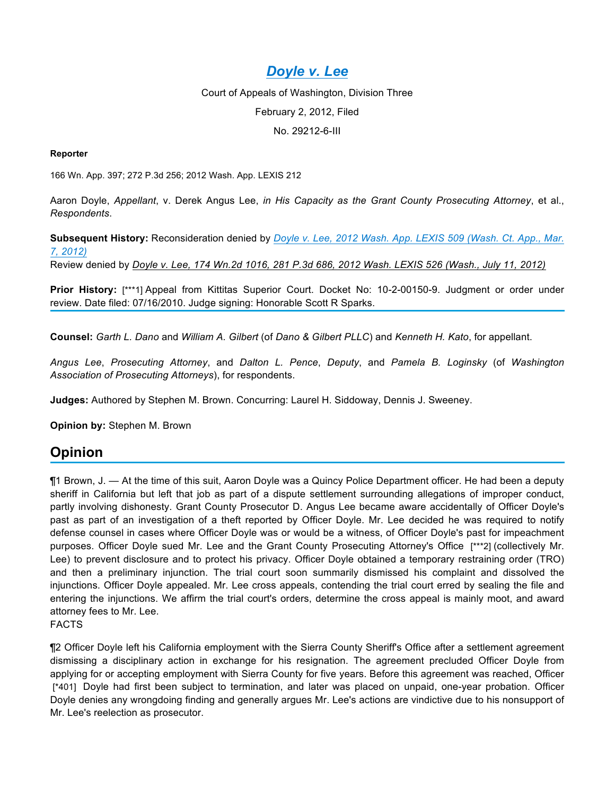# *Doyle v. Lee*

Court of Appeals of Washington, Division Three February 2, 2012, Filed No. 29212-6-III

#### **Reporter**

166 Wn. App. 397; 272 P.3d 256; 2012 Wash. App. LEXIS 212

Aaron Doyle, *Appellant*, v. Derek Angus Lee, *in His Capacity as the Grant County Prosecuting Attorney*, et al., *Respondents*.

**Subsequent History:** Reconsideration denied by *Doyle v. Lee, 2012 Wash. App. LEXIS 509 (Wash. Ct. App., Mar. 7, 2012)*

Review denied by *Doyle v. Lee, 174 Wn.2d 1016, 281 P.3d 686, 2012 Wash. LEXIS 526 (Wash., July 11, 2012)*

**Prior History:** [\*\*\*1] Appeal from Kittitas Superior Court. Docket No: 10-2-00150-9. Judgment or order under review. Date filed: 07/16/2010. Judge signing: Honorable Scott R Sparks.

**Counsel:** *Garth L. Dano* and *William A. Gilbert* (of *Dano & Gilbert PLLC*) and *Kenneth H. Kato*, for appellant.

*Angus Lee*, *Prosecuting Attorney*, and *Dalton L. Pence*, *Deputy*, and *Pamela B. Loginsky* (of *Washington Association of Prosecuting Attorneys*), for respondents.

**Judges:** Authored by Stephen M. Brown. Concurring: Laurel H. Siddoway, Dennis J. Sweeney.

**Opinion by:** Stephen M. Brown

### **Opinion**

¶1 Brown, J. — At the time of this suit, Aaron Doyle was a Quincy Police Department officer. He had been a deputy sheriff in California but left that job as part of a dispute settlement surrounding allegations of improper conduct, partly involving dishonesty. Grant County Prosecutor D. Angus Lee became aware accidentally of Officer Doyle's past as part of an investigation of a theft reported by Officer Doyle. Mr. Lee decided he was required to notify defense counsel in cases where Officer Doyle was or would be a witness, of Officer Doyle's past for impeachment purposes. Officer Doyle sued Mr. Lee and the Grant County Prosecuting Attorney's Office [\*\*\*2] (collectively Mr. Lee) to prevent disclosure and to protect his privacy. Officer Doyle obtained a temporary restraining order (TRO) and then a preliminary injunction. The trial court soon summarily dismissed his complaint and dissolved the injunctions. Officer Doyle appealed. Mr. Lee cross appeals, contending the trial court erred by sealing the file and entering the injunctions. We affirm the trial court's orders, determine the cross appeal is mainly moot, and award attorney fees to Mr. Lee. FACTS

¶2 Officer Doyle left his California employment with the Sierra County Sheriff's Office after a settlement agreement dismissing a disciplinary action in exchange for his resignation. The agreement precluded Officer Doyle from applying for or accepting employment with Sierra County for five years. Before this agreement was reached, Officer [\*401] Doyle had first been subject to termination, and later was placed on unpaid, one-year probation. Officer Doyle denies any wrongdoing finding and generally argues Mr. Lee's actions are vindictive due to his nonsupport of Mr. Lee's reelection as prosecutor.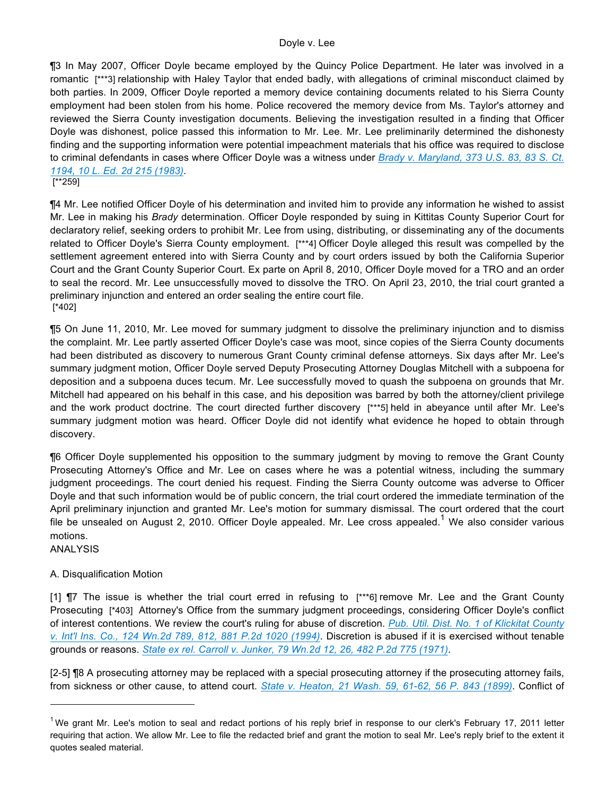#### Doyle v. Lee

¶3 In May 2007, Officer Doyle became employed by the Quincy Police Department. He later was involved in a romantic [\*\*\*3] relationship with Haley Taylor that ended badly, with allegations of criminal misconduct claimed by both parties. In 2009, Officer Doyle reported a memory device containing documents related to his Sierra County employment had been stolen from his home. Police recovered the memory device from Ms. Taylor's attorney and reviewed the Sierra County investigation documents. Believing the investigation resulted in a finding that Officer Doyle was dishonest, police passed this information to Mr. Lee. Mr. Lee preliminarily determined the dishonesty finding and the supporting information were potential impeachment materials that his office was required to disclose to criminal defendants in cases where Officer Doyle was a witness under *Brady v. Maryland, 373 U.S. 83, 83 S. Ct. 1194, 10 L. Ed. 2d 215 (1983)*.

[\*\*259]

¶4 Mr. Lee notified Officer Doyle of his determination and invited him to provide any information he wished to assist Mr. Lee in making his *Brady* determination. Officer Doyle responded by suing in Kittitas County Superior Court for declaratory relief, seeking orders to prohibit Mr. Lee from using, distributing, or disseminating any of the documents related to Officer Doyle's Sierra County employment. [\*\*\*4] Officer Doyle alleged this result was compelled by the settlement agreement entered into with Sierra County and by court orders issued by both the California Superior Court and the Grant County Superior Court. Ex parte on April 8, 2010, Officer Doyle moved for a TRO and an order to seal the record. Mr. Lee unsuccessfully moved to dissolve the TRO. On April 23, 2010, the trial court granted a preliminary injunction and entered an order sealing the entire court file. [\*402]

¶5 On June 11, 2010, Mr. Lee moved for summary judgment to dissolve the preliminary injunction and to dismiss the complaint. Mr. Lee partly asserted Officer Doyle's case was moot, since copies of the Sierra County documents had been distributed as discovery to numerous Grant County criminal defense attorneys. Six days after Mr. Lee's summary judgment motion, Officer Doyle served Deputy Prosecuting Attorney Douglas Mitchell with a subpoena for deposition and a subpoena duces tecum. Mr. Lee successfully moved to quash the subpoena on grounds that Mr. Mitchell had appeared on his behalf in this case, and his deposition was barred by both the attorney/client privilege and the work product doctrine. The court directed further discovery [\*\*\*5] held in abeyance until after Mr. Lee's summary judgment motion was heard. Officer Doyle did not identify what evidence he hoped to obtain through discovery.

¶6 Officer Doyle supplemented his opposition to the summary judgment by moving to remove the Grant County Prosecuting Attorney's Office and Mr. Lee on cases where he was a potential witness, including the summary judgment proceedings. The court denied his request. Finding the Sierra County outcome was adverse to Officer Doyle and that such information would be of public concern, the trial court ordered the immediate termination of the April preliminary injunction and granted Mr. Lee's motion for summary dismissal. The court ordered that the court file be unsealed on August 2, 2010. Officer Doyle appealed. Mr. Lee cross appealed.<sup>1</sup> We also consider various motions.

ANALYSIS

 $\overline{a}$ 

#### A. Disqualification Motion

[1] **[7]** The issue is whether the trial court erred in refusing to [\*\*\*6] remove Mr. Lee and the Grant County Prosecuting [\*403] Attorney's Office from the summary judgment proceedings, considering Officer Doyle's conflict of interest contentions. We review the court's ruling for abuse of discretion. *Pub. Util. Dist. No. 1 of Klickitat County v. Int'l Ins. Co., 124 Wn.2d 789, 812, 881 P.2d 1020 (1994)*. Discretion is abused if it is exercised without tenable grounds or reasons. *State ex rel. Carroll v. Junker, 79 Wn.2d 12, 26, 482 P.2d 775 (1971)*.

[2-5] ¶8 A prosecuting attorney may be replaced with a special prosecuting attorney if the prosecuting attorney fails, from sickness or other cause, to attend court. *State v. Heaton, 21 Wash. 59, 61-62, 56 P. 843 (1899)*. Conflict of

<sup>&</sup>lt;sup>1</sup>We grant Mr. Lee's motion to seal and redact portions of his reply brief in response to our clerk's February 17, 2011 letter requiring that action. We allow Mr. Lee to file the redacted brief and grant the motion to seal Mr. Lee's reply brief to the extent it quotes sealed material.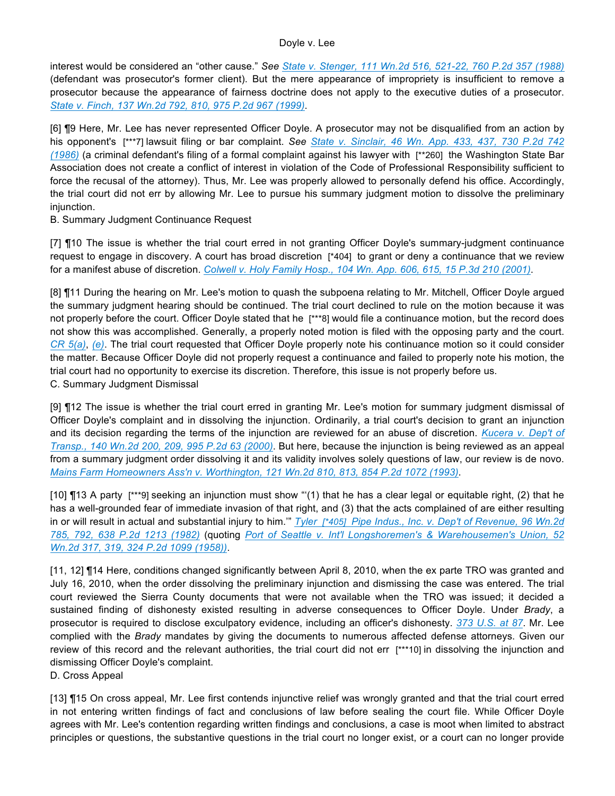interest would be considered an "other cause." *See State v. Stenger, 111 Wn.2d 516, 521-22, 760 P.2d 357 (1988)* (defendant was prosecutor's former client). But the mere appearance of impropriety is insufficient to remove a prosecutor because the appearance of fairness doctrine does not apply to the executive duties of a prosecutor. *State v. Finch, 137 Wn.2d 792, 810, 975 P.2d 967 (1999)*.

[6] ¶9 Here, Mr. Lee has never represented Officer Doyle. A prosecutor may not be disqualified from an action by his opponent's [\*\*\*7] lawsuit filing or bar complaint. See State v. Sinclair, 46 Wn. App. 433, 437, 730 P.2d 742 *(1986)* (a criminal defendant's filing of a formal complaint against his lawyer with [\*\*260] the Washington State Bar Association does not create a conflict of interest in violation of the Code of Professional Responsibility sufficient to force the recusal of the attorney). Thus, Mr. Lee was properly allowed to personally defend his office. Accordingly, the trial court did not err by allowing Mr. Lee to pursue his summary judgment motion to dissolve the preliminary injunction.

B. Summary Judgment Continuance Request

[7]  $\P$ 10 The issue is whether the trial court erred in not granting Officer Doyle's summary-judgment continuance request to engage in discovery. A court has broad discretion [\*404] to grant or deny a continuance that we review for a manifest abuse of discretion. *Colwell v. Holy Family Hosp., 104 Wn. App. 606, 615, 15 P.3d 210 (2001)*.

[8] **[11** During the hearing on Mr. Lee's motion to quash the subpoena relating to Mr. Mitchell, Officer Doyle argued the summary judgment hearing should be continued. The trial court declined to rule on the motion because it was not properly before the court. Officer Doyle stated that he [\*\*\*8] would file a continuance motion, but the record does not show this was accomplished. Generally, a properly noted motion is filed with the opposing party and the court. *CR 5(a)*, *(e)*. The trial court requested that Officer Doyle properly note his continuance motion so it could consider the matter. Because Officer Doyle did not properly request a continuance and failed to properly note his motion, the trial court had no opportunity to exercise its discretion. Therefore, this issue is not properly before us. C. Summary Judgment Dismissal

[9] ¶12 The issue is whether the trial court erred in granting Mr. Lee's motion for summary judgment dismissal of Officer Doyle's complaint and in dissolving the injunction. Ordinarily, a trial court's decision to grant an injunction and its decision regarding the terms of the injunction are reviewed for an abuse of discretion. *Kucera v. Dep't of Transp., 140 Wn.2d 200, 209, 995 P.2d 63 (2000)*. But here, because the injunction is being reviewed as an appeal from a summary judgment order dissolving it and its validity involves solely questions of law, our review is de novo. *Mains Farm Homeowners Ass'n v. Worthington, 121 Wn.2d 810, 813, 854 P.2d 1072 (1993)*.

[10] ¶13 A party [\*\*\*9] seeking an injunction must show "'(1) that he has a clear legal or equitable right, (2) that he has a well-grounded fear of immediate invasion of that right, and (3) that the acts complained of are either resulting in or will result in actual and substantial injury to him.'" *Tyler [\*405] Pipe Indus., Inc. v. Dep't of Revenue, 96 Wn.2d 785, 792, 638 P.2d 1213 (1982)* (quoting *Port of Seattle v. Int'l Longshoremen's & Warehousemen's Union, 52 Wn.2d 317, 319, 324 P.2d 1099 (1958))*.

[11, 12] ¶14 Here, conditions changed significantly between April 8, 2010, when the ex parte TRO was granted and July 16, 2010, when the order dissolving the preliminary injunction and dismissing the case was entered. The trial court reviewed the Sierra County documents that were not available when the TRO was issued; it decided a sustained finding of dishonesty existed resulting in adverse consequences to Officer Doyle. Under *Brady*, a prosecutor is required to disclose exculpatory evidence, including an officer's dishonesty. *373 U.S. at 87*. Mr. Lee complied with the *Brady* mandates by giving the documents to numerous affected defense attorneys. Given our review of this record and the relevant authorities, the trial court did not err [\*\*\*10] in dissolving the injunction and dismissing Officer Doyle's complaint.

D. Cross Appeal

[13] ¶15 On cross appeal, Mr. Lee first contends injunctive relief was wrongly granted and that the trial court erred in not entering written findings of fact and conclusions of law before sealing the court file. While Officer Doyle agrees with Mr. Lee's contention regarding written findings and conclusions, a case is moot when limited to abstract principles or questions, the substantive questions in the trial court no longer exist, or a court can no longer provide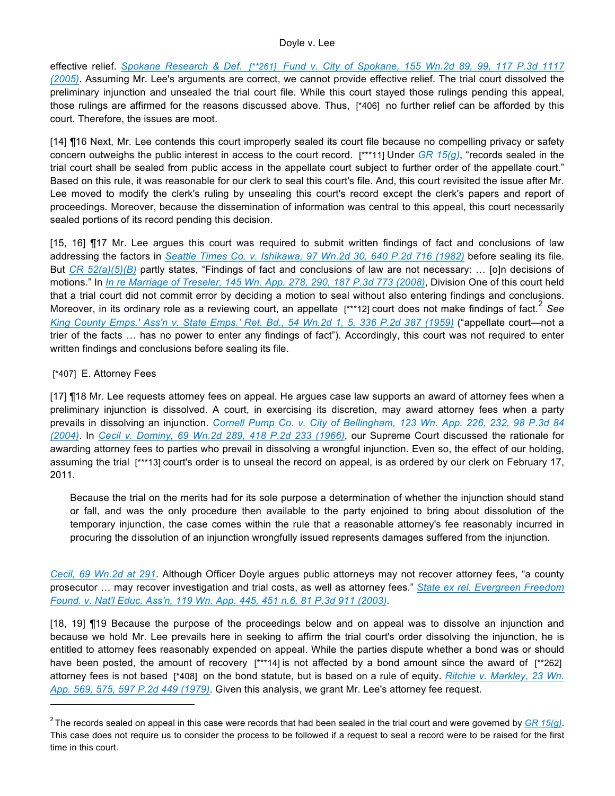effective relief. *Spokane Research & Def. [\*\*261] Fund v. City of Spokane, 155 Wn.2d 89, 99, 117 P.3d 1117 (2005)*. Assuming Mr. Lee's arguments are correct, we cannot provide effective relief. The trial court dissolved the preliminary injunction and unsealed the trial court file. While this court stayed those rulings pending this appeal, those rulings are affirmed for the reasons discussed above. Thus, [\*406] no further relief can be afforded by this court. Therefore, the issues are moot.

[14] ¶16 Next, Mr. Lee contends this court improperly sealed its court file because no compelling privacy or safety concern outweighs the public interest in access to the court record. [\*\*\*11] Under *GR 15(g)*, "records sealed in the trial court shall be sealed from public access in the appellate court subject to further order of the appellate court." Based on this rule, it was reasonable for our clerk to seal this court's file. And, this court revisited the issue after Mr. Lee moved to modify the clerk's ruling by unsealing this court's record except the clerk's papers and report of proceedings. Moreover, because the dissemination of information was central to this appeal, this court necessarily sealed portions of its record pending this decision.

[15, 16] ¶17 Mr. Lee argues this court was required to submit written findings of fact and conclusions of law addressing the factors in *Seattle Times Co. v. Ishikawa, 97 Wn.2d 30, 640 P.2d 716 (1982)* before sealing its file. But *CR 52(a)(5)(B)* partly states, "Findings of fact and conclusions of law are not necessary: … [o]n decisions of motions." In *In re Marriage of Treseler, 145 Wn. App. 278, 290, 187 P.3d 773 (2008)*, Division One of this court held that a trial court did not commit error by deciding a motion to seal without also entering findings and conclusions. Moreover, in its ordinary role as a reviewing court, an appellate [\*\*\*12] court does not make findings of fact.<sup>2</sup> See *King County Emps.' Ass'n v. State Emps.' Ret. Bd., 54 Wn.2d 1, 5, 336 P.2d 387 (1959)* ("appellate court—not a trier of the facts … has no power to enter any findings of fact"). Accordingly, this court was not required to enter written findings and conclusions before sealing its file.

#### [\*407] E. Attorney Fees

 $\overline{a}$ 

[17] ¶18 Mr. Lee requests attorney fees on appeal. He argues case law supports an award of attorney fees when a preliminary injunction is dissolved. A court, in exercising its discretion, may award attorney fees when a party prevails in dissolving an injunction. *Cornell Pump Co. v. City of Bellingham, 123 Wn. App. 226, 232, 98 P.3d 84 (2004)*. In *Cecil v. Dominy, 69 Wn.2d 289, 418 P.2d 233 (1966)*, our Supreme Court discussed the rationale for awarding attorney fees to parties who prevail in dissolving a wrongful injunction. Even so, the effect of our holding, assuming the trial [\*\*\*13] court's order is to unseal the record on appeal, is as ordered by our clerk on February 17, 2011.

Because the trial on the merits had for its sole purpose a determination of whether the injunction should stand or fall, and was the only procedure then available to the party enjoined to bring about dissolution of the temporary injunction, the case comes within the rule that a reasonable attorney's fee reasonably incurred in procuring the dissolution of an injunction wrongfully issued represents damages suffered from the injunction.

*Cecil, 69 Wn.2d at 291*. Although Officer Doyle argues public attorneys may not recover attorney fees, "a county prosecutor … may recover investigation and trial costs, as well as attorney fees." *State ex rel. Evergreen Freedom Found. v. Nat'l Educ. Ass'n, 119 Wn. App. 445, 451 n.6, 81 P.3d 911 (2003)*.

[18, 19] ¶19 Because the purpose of the proceedings below and on appeal was to dissolve an injunction and because we hold Mr. Lee prevails here in seeking to affirm the trial court's order dissolving the injunction, he is entitled to attorney fees reasonably expended on appeal. While the parties dispute whether a bond was or should have been posted, the amount of recovery [\*\*\*14] is not affected by a bond amount since the award of [\*\*262] attorney fees is not based [\*408] on the bond statute, but is based on a rule of equity. *Ritchie v. Markley, 23 Wn. App. 569, 575, 597 P.2d 449 (1979)*. Given this analysis, we grant Mr. Lee's attorney fee request.

<sup>&</sup>lt;sup>2</sup> The records sealed on appeal in this case were records that had been sealed in the trial court and were governed by *GR 15(g)*. This case does not require us to consider the process to be followed if a request to seal a record were to be raised for the first time in this court.